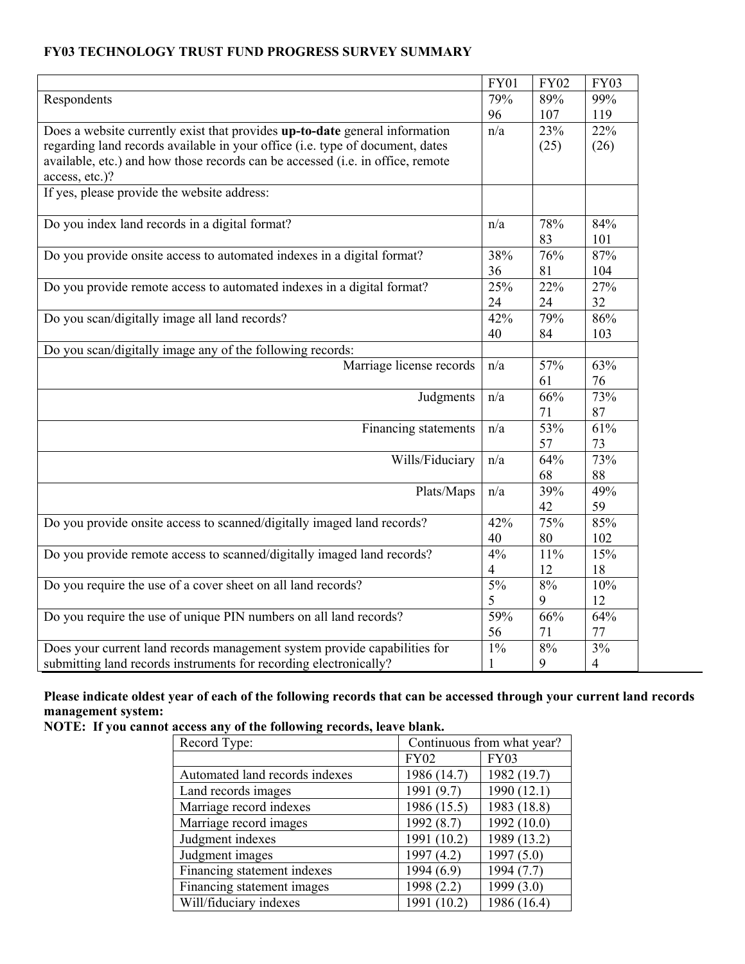## **FY03 TECHNOLOGY TRUST FUND PROGRESS SURVEY SUMMARY**

|                                                                                | <b>FY01</b>    | <b>FY02</b> | <b>FY03</b>    |
|--------------------------------------------------------------------------------|----------------|-------------|----------------|
| Respondents                                                                    | 79%            | 89%         | 99%            |
|                                                                                | 96             | 107         | 119            |
| Does a website currently exist that provides up-to-date general information    | n/a            | 23%         | 22%            |
| regarding land records available in your office (i.e. type of document, dates  |                | (25)        | (26)           |
| available, etc.) and how those records can be accessed (i.e. in office, remote |                |             |                |
| access, etc.)?                                                                 |                |             |                |
| If yes, please provide the website address:                                    |                |             |                |
|                                                                                |                |             |                |
| Do you index land records in a digital format?                                 | n/a            | 78%         | 84%            |
|                                                                                |                | 83          | 101            |
| Do you provide onsite access to automated indexes in a digital format?         | 38%            | 76%         | 87%            |
|                                                                                | 36             | 81          | 104            |
| Do you provide remote access to automated indexes in a digital format?         | 25%            | 22%         | 27%            |
|                                                                                | 24             | 24          | 32             |
| Do you scan/digitally image all land records?                                  | 42%            | 79%         | 86%            |
|                                                                                | 40             | 84          | 103            |
| Do you scan/digitally image any of the following records:                      |                |             |                |
| Marriage license records                                                       | n/a            | 57%         | 63%            |
|                                                                                |                | 61          | 76             |
| Judgments                                                                      | n/a            | 66%         | 73%            |
|                                                                                |                | 71          | 87             |
| Financing statements                                                           | n/a            | 53%         | 61%            |
|                                                                                |                | 57          | 73             |
| Wills/Fiduciary                                                                | n/a            | 64%         | 73%            |
|                                                                                |                | 68          | 88             |
| Plats/Maps                                                                     | n/a            | 39%         | 49%            |
|                                                                                |                | 42          | 59             |
| Do you provide onsite access to scanned/digitally imaged land records?         | 42%            | 75%         | 85%            |
|                                                                                | 40             | 80          | 102            |
| Do you provide remote access to scanned/digitally imaged land records?         | 4%             | 11%         | 15%            |
|                                                                                | $\overline{4}$ | 12          | 18             |
| Do you require the use of a cover sheet on all land records?                   | 5%             | 8%          | 10%            |
|                                                                                | 5              | 9           | 12             |
| Do you require the use of unique PIN numbers on all land records?              | 59%            | 66%         | 64%            |
|                                                                                | 56             | 71          | 77             |
| Does your current land records management system provide capabilities for      | $1\%$          | 8%          | 3%             |
| submitting land records instruments for recording electronically?              | $\mathbf{1}$   | 9           | $\overline{4}$ |

# **Please indicate oldest year of each of the following records that can be accessed through your current land records management system:**

**NOTE: If you cannot access any of the following records, leave blank.** 

| Record Type:                   | Continuous from what year? |              |  |
|--------------------------------|----------------------------|--------------|--|
|                                | <b>FY02</b>                | <b>FY03</b>  |  |
| Automated land records indexes | 1986 (14.7)                | 1982 (19.7)  |  |
| Land records images            | 1991 (9.7)                 | 1990(12.1)   |  |
| Marriage record indexes        | 1986 (15.5)                | 1983 (18.8)  |  |
| Marriage record images         | 1992 (8.7)                 | 1992 (10.0)  |  |
| Judgment indexes               | 1991 (10.2)                | 1989 (13.2)  |  |
| Judgment images                | 1997(4.2)                  | 1997(5.0)    |  |
| Financing statement indexes    | 1994(6.9)                  | 1994 (7.7)   |  |
| Financing statement images     | 1998(2.2)                  | 1999 $(3.0)$ |  |
| Will/fiduciary indexes         | 1991 (10.2)                | 1986 (16.4)  |  |